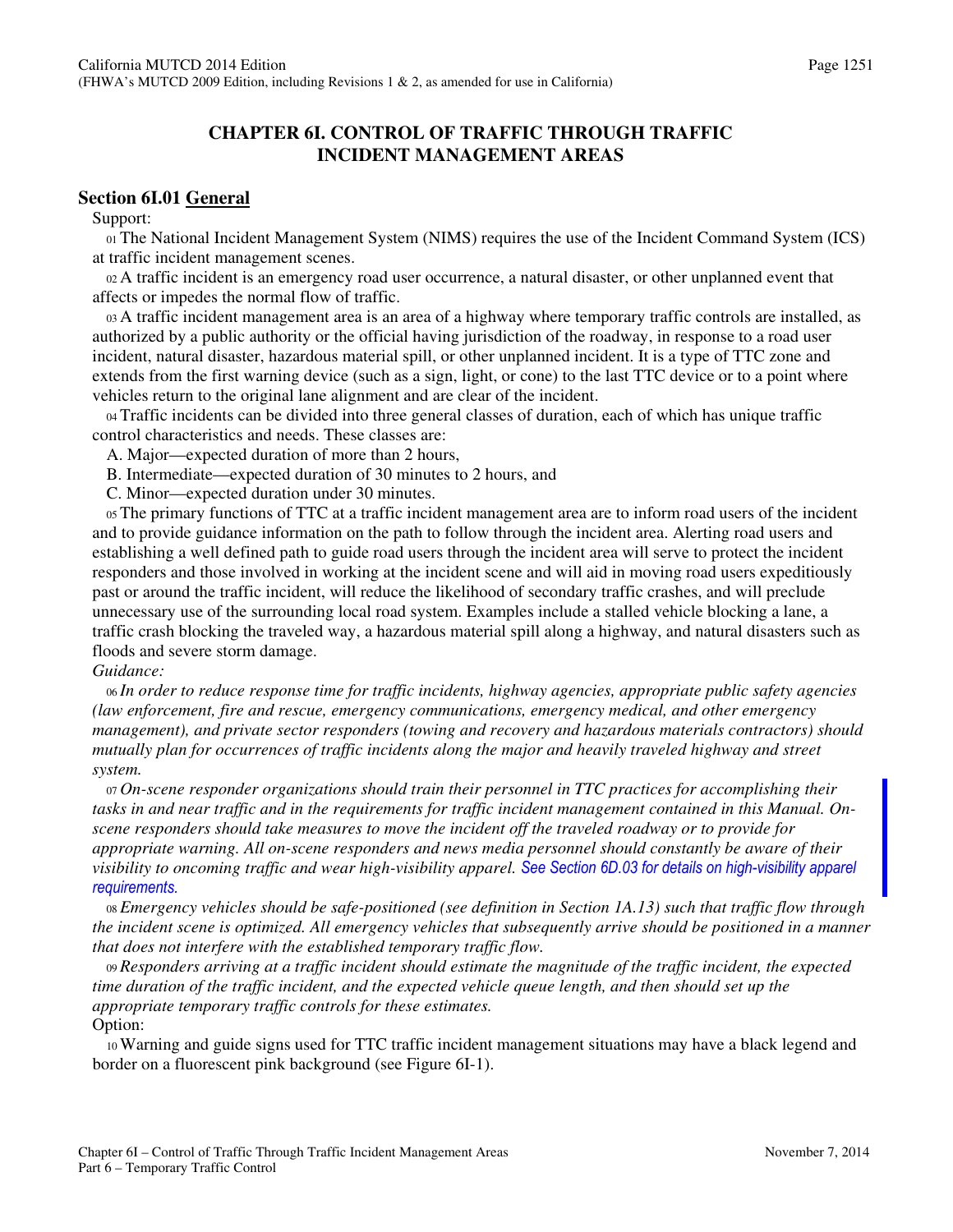# **CHAPTER 6I. CONTROL OF TRAFFIC THROUGH TRAFFIC INCIDENT MANAGEMENT AREAS**

## **Section 6I.01 General**

Support:

<sup>01</sup>The National Incident Management System (NIMS) requires the use of the Incident Command System (ICS) at traffic incident management scenes.

<sup>02</sup>A traffic incident is an emergency road user occurrence, a natural disaster, or other unplanned event that affects or impedes the normal flow of traffic.

<sup>03</sup>A traffic incident management area is an area of a highway where temporary traffic controls are installed, as authorized by a public authority or the official having jurisdiction of the roadway, in response to a road user incident, natural disaster, hazardous material spill, or other unplanned incident. It is a type of TTC zone and extends from the first warning device (such as a sign, light, or cone) to the last TTC device or to a point where vehicles return to the original lane alignment and are clear of the incident.

<sup>04</sup>Traffic incidents can be divided into three general classes of duration, each of which has unique traffic control characteristics and needs. These classes are:

A. Major—expected duration of more than 2 hours,

B. Intermediate—expected duration of 30 minutes to 2 hours, and

C. Minor—expected duration under 30 minutes.

<sup>05</sup>The primary functions of TTC at a traffic incident management area are to inform road users of the incident and to provide guidance information on the path to follow through the incident area. Alerting road users and establishing a well defined path to guide road users through the incident area will serve to protect the incident responders and those involved in working at the incident scene and will aid in moving road users expeditiously past or around the traffic incident, will reduce the likelihood of secondary traffic crashes, and will preclude unnecessary use of the surrounding local road system. Examples include a stalled vehicle blocking a lane, a traffic crash blocking the traveled way, a hazardous material spill along a highway, and natural disasters such as floods and severe storm damage.

## *Guidance:*

<sup>06</sup>*In order to reduce response time for traffic incidents, highway agencies, appropriate public safety agencies (law enforcement, fire and rescue, emergency communications, emergency medical, and other emergency management), and private sector responders (towing and recovery and hazardous materials contractors) should mutually plan for occurrences of traffic incidents along the major and heavily traveled highway and street system.* 

<sup>07</sup>*On-scene responder organizations should train their personnel in TTC practices for accomplishing their tasks in and near traffic and in the requirements for traffic incident management contained in this Manual. Onscene responders should take measures to move the incident off the traveled roadway or to provide for appropriate warning. All on-scene responders and news media personnel should constantly be aware of their visibility to oncoming traffic and wear high-visibility apparel.* See Section 6D.03 for details on high-visibility apparel requirements.

<sup>08</sup>*Emergency vehicles should be safe-positioned (see definition in Section 1A.13) such that traffic flow through the incident scene is optimized. All emergency vehicles that subsequently arrive should be positioned in a manner that does not interfere with the established temporary traffic flow.* 

<sup>09</sup>*Responders arriving at a traffic incident should estimate the magnitude of the traffic incident, the expected time duration of the traffic incident, and the expected vehicle queue length, and then should set up the appropriate temporary traffic controls for these estimates.*  Option:

<sup>10</sup>Warning and guide signs used for TTC traffic incident management situations may have a black legend and border on a fluorescent pink background (see Figure 6I-1).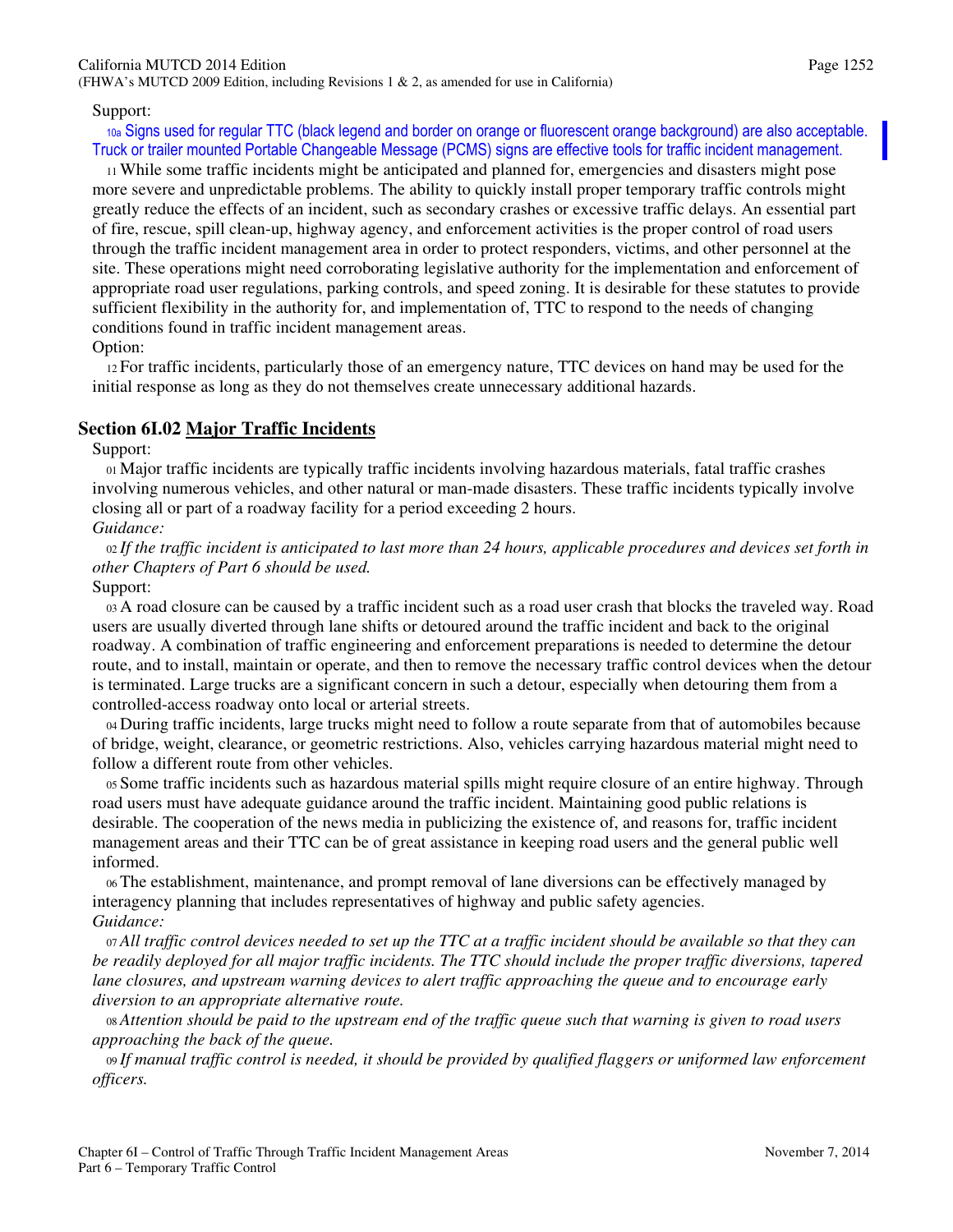#### Support:

10a Signs used for regular TTC (black legend and border on orange or fluorescent orange background) are also acceptable. Truck or trailer mounted Portable Changeable Message (PCMS) signs are effective tools for traffic incident management.

<sup>11</sup>While some traffic incidents might be anticipated and planned for, emergencies and disasters might pose more severe and unpredictable problems. The ability to quickly install proper temporary traffic controls might greatly reduce the effects of an incident, such as secondary crashes or excessive traffic delays. An essential part of fire, rescue, spill clean-up, highway agency, and enforcement activities is the proper control of road users through the traffic incident management area in order to protect responders, victims, and other personnel at the site. These operations might need corroborating legislative authority for the implementation and enforcement of appropriate road user regulations, parking controls, and speed zoning. It is desirable for these statutes to provide sufficient flexibility in the authority for, and implementation of, TTC to respond to the needs of changing conditions found in traffic incident management areas. Option:

<sup>12</sup>For traffic incidents, particularly those of an emergency nature, TTC devices on hand may be used for the initial response as long as they do not themselves create unnecessary additional hazards.

# **Section 6I.02 Major Traffic Incidents**

Support:

<sup>01</sup>Major traffic incidents are typically traffic incidents involving hazardous materials, fatal traffic crashes involving numerous vehicles, and other natural or man-made disasters. These traffic incidents typically involve closing all or part of a roadway facility for a period exceeding 2 hours.

#### *Guidance:*

<sup>02</sup>*If the traffic incident is anticipated to last more than 24 hours, applicable procedures and devices set forth in other Chapters of Part 6 should be used.* 

#### Support:

<sup>03</sup>A road closure can be caused by a traffic incident such as a road user crash that blocks the traveled way. Road users are usually diverted through lane shifts or detoured around the traffic incident and back to the original roadway. A combination of traffic engineering and enforcement preparations is needed to determine the detour route, and to install, maintain or operate, and then to remove the necessary traffic control devices when the detour is terminated. Large trucks are a significant concern in such a detour, especially when detouring them from a controlled-access roadway onto local or arterial streets.

<sup>04</sup>During traffic incidents, large trucks might need to follow a route separate from that of automobiles because of bridge, weight, clearance, or geometric restrictions. Also, vehicles carrying hazardous material might need to follow a different route from other vehicles.

<sup>05</sup>Some traffic incidents such as hazardous material spills might require closure of an entire highway. Through road users must have adequate guidance around the traffic incident. Maintaining good public relations is desirable. The cooperation of the news media in publicizing the existence of, and reasons for, traffic incident management areas and their TTC can be of great assistance in keeping road users and the general public well informed.

<sup>06</sup>The establishment, maintenance, and prompt removal of lane diversions can be effectively managed by interagency planning that includes representatives of highway and public safety agencies. *Guidance:* 

<sup>07</sup>*All traffic control devices needed to set up the TTC at a traffic incident should be available so that they can be readily deployed for all major traffic incidents. The TTC should include the proper traffic diversions, tapered lane closures, and upstream warning devices to alert traffic approaching the queue and to encourage early diversion to an appropriate alternative route.* 

<sup>08</sup>*Attention should be paid to the upstream end of the traffic queue such that warning is given to road users approaching the back of the queue.* 

<sup>09</sup>*If manual traffic control is needed, it should be provided by qualified flaggers or uniformed law enforcement officers.*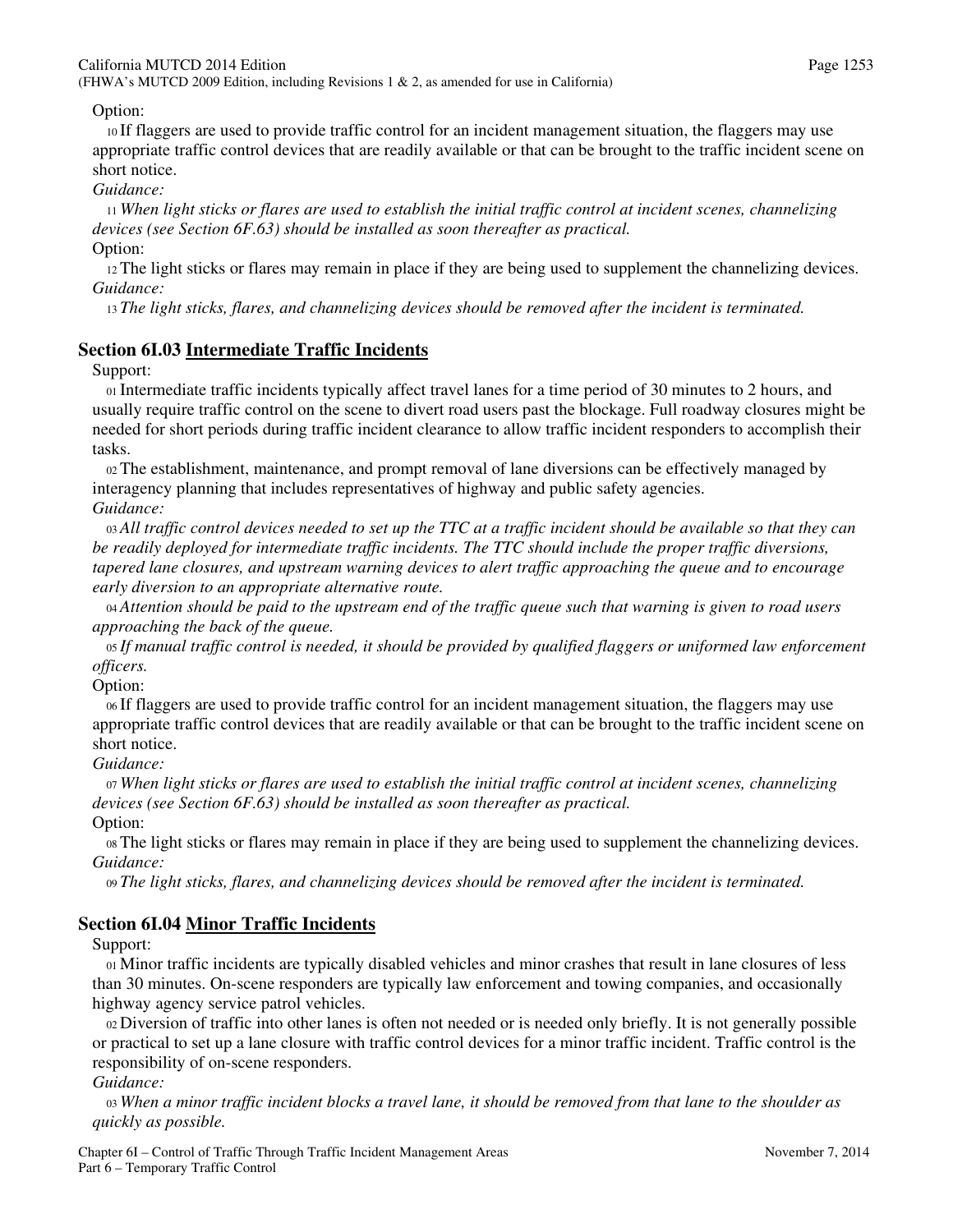# Option:

<sup>10</sup>If flaggers are used to provide traffic control for an incident management situation, the flaggers may use appropriate traffic control devices that are readily available or that can be brought to the traffic incident scene on short notice.

## *Guidance:*

<sup>11</sup>*When light sticks or flares are used to establish the initial traffic control at incident scenes, channelizing devices (see Section 6F.63) should be installed as soon thereafter as practical.* 

Option:

<sup>12</sup>The light sticks or flares may remain in place if they are being used to supplement the channelizing devices. *Guidance:* 

<sup>13</sup>*The light sticks, flares, and channelizing devices should be removed after the incident is terminated.*

# **Section 6I.03 Intermediate Traffic Incidents**

Support:

<sup>01</sup>Intermediate traffic incidents typically affect travel lanes for a time period of 30 minutes to 2 hours, and usually require traffic control on the scene to divert road users past the blockage. Full roadway closures might be needed for short periods during traffic incident clearance to allow traffic incident responders to accomplish their tasks.

<sup>02</sup>The establishment, maintenance, and prompt removal of lane diversions can be effectively managed by interagency planning that includes representatives of highway and public safety agencies. *Guidance:* 

<sup>03</sup>*All traffic control devices needed to set up the TTC at a traffic incident should be available so that they can be readily deployed for intermediate traffic incidents. The TTC should include the proper traffic diversions, tapered lane closures, and upstream warning devices to alert traffic approaching the queue and to encourage early diversion to an appropriate alternative route.* 

<sup>04</sup>*Attention should be paid to the upstream end of the traffic queue such that warning is given to road users approaching the back of the queue.* 

<sup>05</sup>*If manual traffic control is needed, it should be provided by qualified flaggers or uniformed law enforcement officers.* 

## Option:

<sup>06</sup>If flaggers are used to provide traffic control for an incident management situation, the flaggers may use appropriate traffic control devices that are readily available or that can be brought to the traffic incident scene on short notice.

## *Guidance:*

<sup>07</sup>*When light sticks or flares are used to establish the initial traffic control at incident scenes, channelizing devices (see Section 6F.63) should be installed as soon thereafter as practical.* 

Option:

<sup>08</sup>The light sticks or flares may remain in place if they are being used to supplement the channelizing devices. *Guidance:* 

<sup>09</sup>*The light sticks, flares, and channelizing devices should be removed after the incident is terminated.*

# **Section 6I.04 Minor Traffic Incidents**

Support:

<sup>01</sup>Minor traffic incidents are typically disabled vehicles and minor crashes that result in lane closures of less than 30 minutes. On-scene responders are typically law enforcement and towing companies, and occasionally highway agency service patrol vehicles.

<sup>02</sup>Diversion of traffic into other lanes is often not needed or is needed only briefly. It is not generally possible or practical to set up a lane closure with traffic control devices for a minor traffic incident. Traffic control is the responsibility of on-scene responders.

*Guidance:* 

<sup>03</sup>*When a minor traffic incident blocks a travel lane, it should be removed from that lane to the shoulder as quickly as possible.*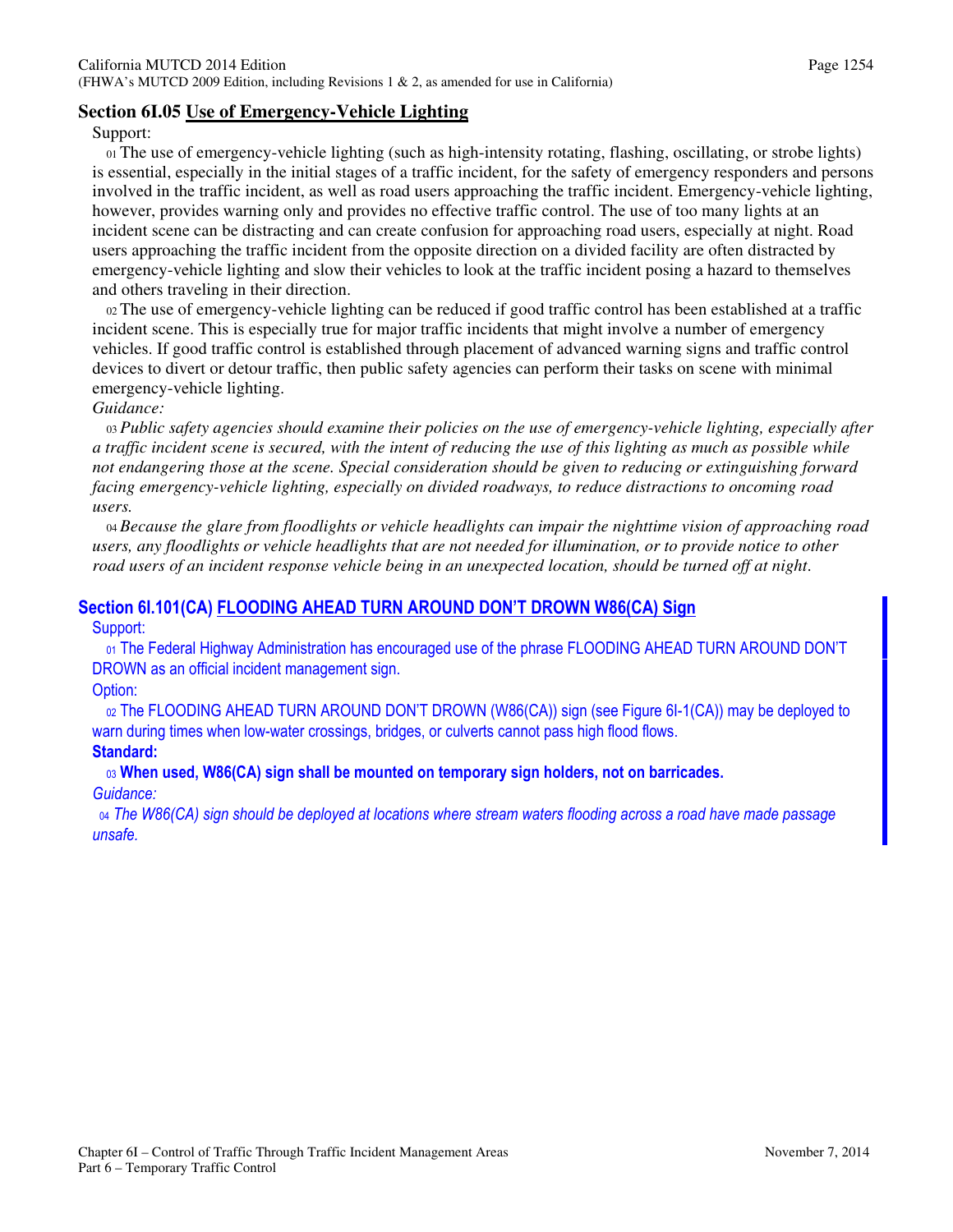# **Section 6I.05 Use of Emergency-Vehicle Lighting**

#### Support:

<sup>01</sup>The use of emergency-vehicle lighting (such as high-intensity rotating, flashing, oscillating, or strobe lights) is essential, especially in the initial stages of a traffic incident, for the safety of emergency responders and persons involved in the traffic incident, as well as road users approaching the traffic incident. Emergency-vehicle lighting, however, provides warning only and provides no effective traffic control. The use of too many lights at an incident scene can be distracting and can create confusion for approaching road users, especially at night. Road users approaching the traffic incident from the opposite direction on a divided facility are often distracted by emergency-vehicle lighting and slow their vehicles to look at the traffic incident posing a hazard to themselves and others traveling in their direction.

<sup>02</sup>The use of emergency-vehicle lighting can be reduced if good traffic control has been established at a traffic incident scene. This is especially true for major traffic incidents that might involve a number of emergency vehicles. If good traffic control is established through placement of advanced warning signs and traffic control devices to divert or detour traffic, then public safety agencies can perform their tasks on scene with minimal emergency-vehicle lighting.

#### *Guidance:*

<sup>03</sup>*Public safety agencies should examine their policies on the use of emergency-vehicle lighting, especially after a traffic incident scene is secured, with the intent of reducing the use of this lighting as much as possible while not endangering those at the scene. Special consideration should be given to reducing or extinguishing forward facing emergency-vehicle lighting, especially on divided roadways, to reduce distractions to oncoming road users.* 

<sup>04</sup>*Because the glare from floodlights or vehicle headlights can impair the nighttime vision of approaching road users, any floodlights or vehicle headlights that are not needed for illumination, or to provide notice to other road users of an incident response vehicle being in an unexpected location, should be turned off at night*.

## Section 6I.101(CA) FLOODING AHEAD TURN AROUND DON'T DROWN W86(CA) Sign

Support:

<sup>01</sup> The Federal Highway Administration has encouraged use of the phrase FLOODING AHEAD TURN AROUND DON'T DROWN as an official incident management sign.

#### Option:

02 The FLOODING AHEAD TURN AROUND DON'T DROWN (W86(CA)) sign (see Figure 6I-1(CA)) may be deployed to warn during times when low-water crossings, bridges, or culverts cannot pass high flood flows. Standard:

# 03 When used, W86(CA) sign shall be mounted on temporary sign holders, not on barricades.

#### Guidance:

<sup>04</sup> The W86(CA) sign should be deployed at locations where stream waters flooding across a road have made passage unsafe.